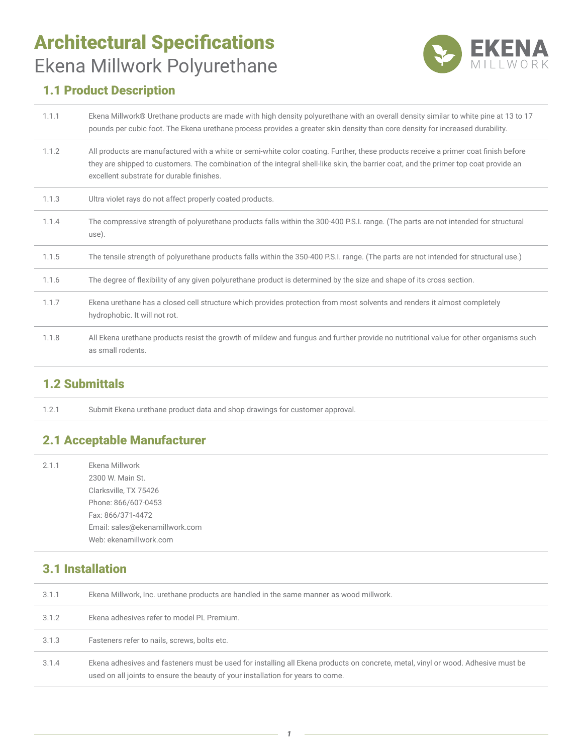# Architectural Specifications Ekena Millwork Polyurethane



## 1.1 Product Description

| 1.1.1 | Ekena Millwork® Urethane products are made with high density polyurethane with an overall density similar to white pine at 13 to 17<br>pounds per cubic foot. The Ekena urethane process provides a greater skin density than core density for increased durability.                                                     |
|-------|--------------------------------------------------------------------------------------------------------------------------------------------------------------------------------------------------------------------------------------------------------------------------------------------------------------------------|
| 1.1.2 | All products are manufactured with a white or semi-white color coating. Further, these products receive a primer coat finish before<br>they are shipped to customers. The combination of the integral shell-like skin, the barrier coat, and the primer top coat provide an<br>excellent substrate for durable finishes. |
| 1.1.3 | Ultra violet rays do not affect properly coated products.                                                                                                                                                                                                                                                                |
| 1.1.4 | The compressive strength of polyurethane products falls within the 300-400 P.S.I. range. (The parts are not intended for structural<br>use).                                                                                                                                                                             |
| 1.1.5 | The tensile strength of polyurethane products falls within the 350-400 P.S.I. range. (The parts are not intended for structural use.)                                                                                                                                                                                    |
| 1.1.6 | The degree of flexibility of any given polyurethane product is determined by the size and shape of its cross section.                                                                                                                                                                                                    |
| 1.1.7 | Ekena urethane has a closed cell structure which provides protection from most solvents and renders it almost completely<br>hydrophobic. It will not rot.                                                                                                                                                                |
| 1.1.8 | All Ekena urethane products resist the growth of mildew and fungus and further provide no nutritional value for other organisms such<br>as small rodents.                                                                                                                                                                |

#### 1.2 Submittals

1.2.1 Submit Ekena urethane product data and shop drawings for customer approval.

### 2.1 Acceptable Manufacturer

| 2.1.1 | Ekena Millwork<br>2300 W. Main St.<br>Clarksville, TX 75426<br>Phone: 866/607-0453<br>Fax: 866/371-4472<br>Email: sales@ekenamillwork.com |
|-------|-------------------------------------------------------------------------------------------------------------------------------------------|
|       | Web: ekenamillwork.com                                                                                                                    |

## 3.1 Installation

| 3.1.1 | Ekena Millwork, Inc. urethane products are handled in the same manner as wood millwork.                                                                                                                             |
|-------|---------------------------------------------------------------------------------------------------------------------------------------------------------------------------------------------------------------------|
| 3.1.2 | Ekena adhesives refer to model PL Premium.                                                                                                                                                                          |
| 3.1.3 | Fasteners refer to nails, screws, bolts etc.                                                                                                                                                                        |
| 3.1.4 | Ekena adhesives and fasteners must be used for installing all Ekena products on concrete, metal, vinyl or wood. Adhesive must be<br>used on all joints to ensure the beauty of your installation for years to come. |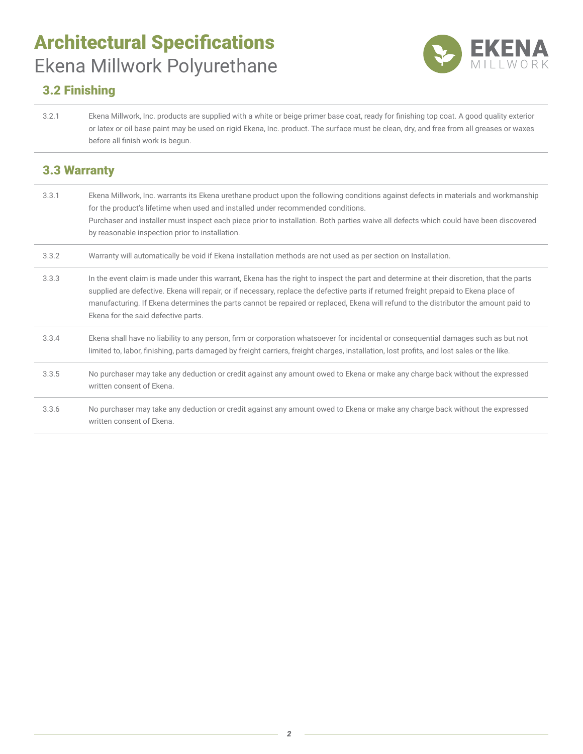# Architectural Specifications Ekena Millwork Polyurethane



### 3.2 Finishing

3.2.1 Ekena Millwork, Inc. products are supplied with a white or beige primer base coat, ready for finishing top coat. A good quality exterior or latex or oil base paint may be used on rigid Ekena, Inc. product. The surface must be clean, dry, and free from all greases or waxes before all finish work is begun.

#### 3.3 Warranty

| 3.3.1 | Ekena Millwork, Inc. warrants its Ekena urethane product upon the following conditions against defects in materials and workmanship<br>for the product's lifetime when used and installed under recommended conditions.<br>Purchaser and installer must inspect each piece prior to installation. Both parties waive all defects which could have been discovered<br>by reasonable inspection prior to installation.                                             |
|-------|------------------------------------------------------------------------------------------------------------------------------------------------------------------------------------------------------------------------------------------------------------------------------------------------------------------------------------------------------------------------------------------------------------------------------------------------------------------|
| 3.3.2 | Warranty will automatically be void if Ekena installation methods are not used as per section on Installation.                                                                                                                                                                                                                                                                                                                                                   |
| 3.3.3 | In the event claim is made under this warrant, Ekena has the right to inspect the part and determine at their discretion, that the parts<br>supplied are defective. Ekena will repair, or if necessary, replace the defective parts if returned freight prepaid to Ekena place of<br>manufacturing. If Ekena determines the parts cannot be repaired or replaced, Ekena will refund to the distributor the amount paid to<br>Ekena for the said defective parts. |
| 3.3.4 | Ekena shall have no liability to any person, firm or corporation whatsoever for incidental or consequential damages such as but not<br>limited to, labor, finishing, parts damaged by freight carriers, freight charges, installation, lost profits, and lost sales or the like.                                                                                                                                                                                 |
| 3.3.5 | No purchaser may take any deduction or credit against any amount owed to Ekena or make any charge back without the expressed<br>written consent of Ekena.                                                                                                                                                                                                                                                                                                        |
| 3.3.6 | No purchaser may take any deduction or credit against any amount owed to Ekena or make any charge back without the expressed<br>written consent of Ekena.                                                                                                                                                                                                                                                                                                        |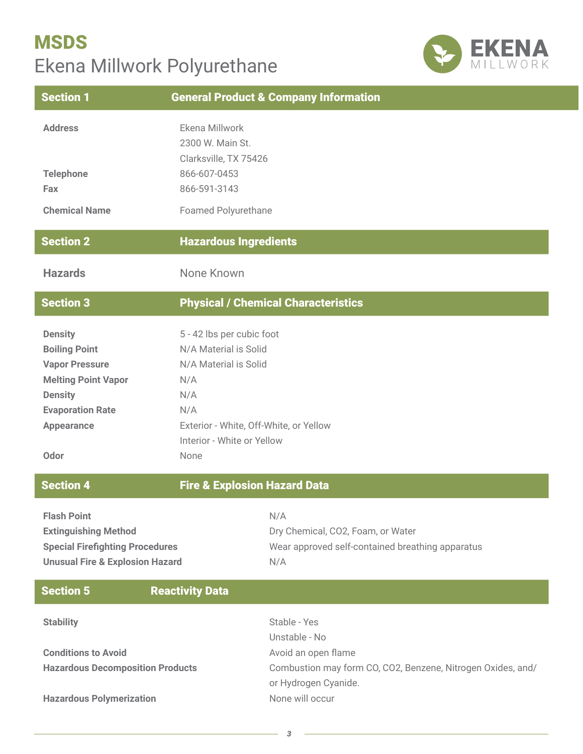# **MSDS** Ekena Millwork Polyurethane



|                                                                                      | <b>General Product &amp; Company Information</b>                                                                                                                                                                                                                                      |
|--------------------------------------------------------------------------------------|---------------------------------------------------------------------------------------------------------------------------------------------------------------------------------------------------------------------------------------------------------------------------------------|
| Ekena Millwork<br>2300 W. Main St.<br>866-607-0453<br>866-591-3143                   |                                                                                                                                                                                                                                                                                       |
|                                                                                      |                                                                                                                                                                                                                                                                                       |
|                                                                                      |                                                                                                                                                                                                                                                                                       |
| None Known                                                                           |                                                                                                                                                                                                                                                                                       |
|                                                                                      | <b>Physical / Chemical Characteristics</b>                                                                                                                                                                                                                                            |
| N/A<br>N/A<br>N/A<br>None                                                            |                                                                                                                                                                                                                                                                                       |
|                                                                                      |                                                                                                                                                                                                                                                                                       |
| <b>Special Firefighting Procedures</b><br><b>Unusual Fire &amp; Explosion Hazard</b> | N/A<br>Dry Chemical, CO2, Foam, or Water<br>Wear approved self-contained breathing apparatus<br>N/A                                                                                                                                                                                   |
| <b>Reactivity Data</b>                                                               |                                                                                                                                                                                                                                                                                       |
| <b>Hazardous Decomposition Products</b>                                              | Stable - Yes<br>Unstable - No<br>Avoid an open flame<br>Combustion may form CO, CO2, Benzene, Nitrogen Oxides, and/<br>or Hydrogen Cyanide.<br>None will occur                                                                                                                        |
|                                                                                      | Clarksville, TX 75426<br><b>Foamed Polyurethane</b><br><b>Hazardous Ingredients</b><br>5 - 42 lbs per cubic foot<br>N/A Material is Solid<br>N/A Material is Solid<br>Exterior - White, Off-White, or Yellow<br>Interior - White or Yellow<br><b>Fire &amp; Explosion Hazard Data</b> |